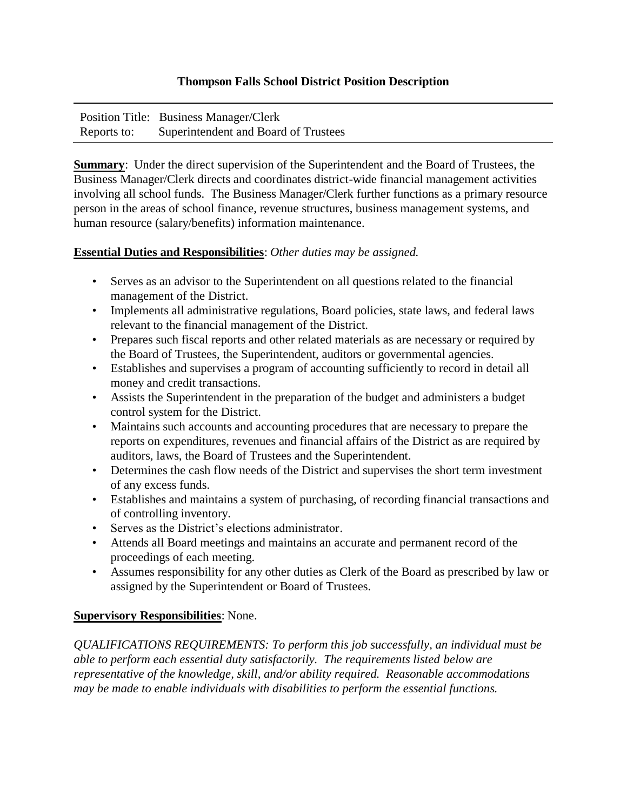## **Thompson Falls School District Position Description**

|             | Position Title: Business Manager/Clerk |
|-------------|----------------------------------------|
| Reports to: | Superintendent and Board of Trustees   |

**Summary**: Under the direct supervision of the Superintendent and the Board of Trustees, the Business Manager/Clerk directs and coordinates district-wide financial management activities involving all school funds. The Business Manager/Clerk further functions as a primary resource person in the areas of school finance, revenue structures, business management systems, and human resource (salary/benefits) information maintenance.

## **Essential Duties and Responsibilities**: *Other duties may be assigned.*

- Serves as an advisor to the Superintendent on all questions related to the financial management of the District.
- Implements all administrative regulations, Board policies, state laws, and federal laws relevant to the financial management of the District.
- Prepares such fiscal reports and other related materials as are necessary or required by the Board of Trustees, the Superintendent, auditors or governmental agencies.
- Establishes and supervises a program of accounting sufficiently to record in detail all money and credit transactions.
- Assists the Superintendent in the preparation of the budget and administers a budget control system for the District.
- Maintains such accounts and accounting procedures that are necessary to prepare the reports on expenditures, revenues and financial affairs of the District as are required by auditors, laws, the Board of Trustees and the Superintendent.
- Determines the cash flow needs of the District and supervises the short term investment of any excess funds.
- Establishes and maintains a system of purchasing, of recording financial transactions and of controlling inventory.
- Serves as the District's elections administrator.
- Attends all Board meetings and maintains an accurate and permanent record of the proceedings of each meeting.
- Assumes responsibility for any other duties as Clerk of the Board as prescribed by law or assigned by the Superintendent or Board of Trustees.

## **Supervisory Responsibilities**: None.

*QUALIFICATIONS REQUIREMENTS: To perform this job successfully, an individual must be able to perform each essential duty satisfactorily. The requirements listed below are representative of the knowledge, skill, and/or ability required. Reasonable accommodations may be made to enable individuals with disabilities to perform the essential functions.*